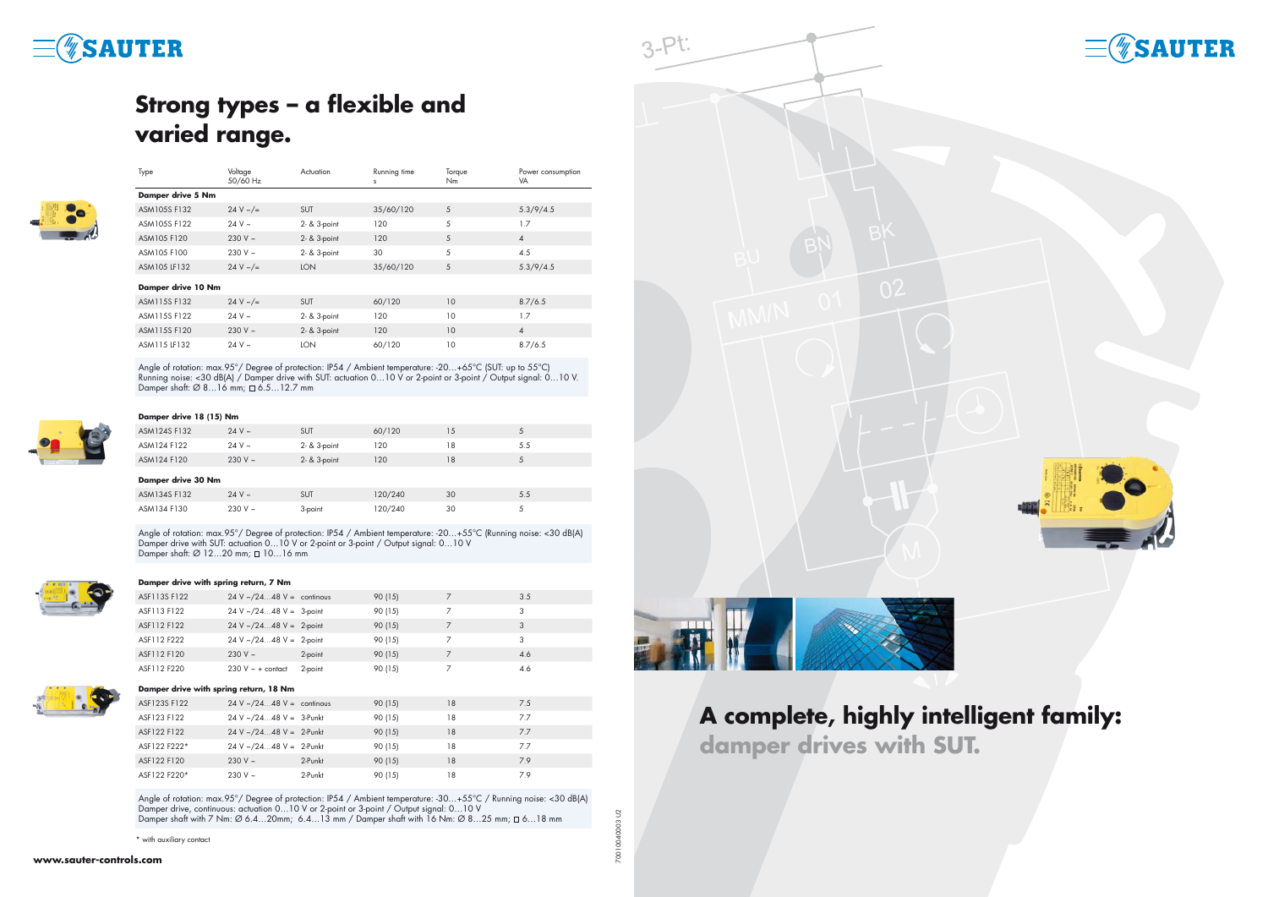| Type                     | Voltage<br>50/60 Hz | Actuation    | Running time<br>s | Torque<br>Nm | Power consumption<br>VA |  |  |  |
|--------------------------|---------------------|--------------|-------------------|--------------|-------------------------|--|--|--|
| <b>Damper drive 5 Nm</b> |                     |              |                   |              |                         |  |  |  |
| ASM105S F132             | 24 V $\sim$ /=      | <b>SUT</b>   | 35/60/120         | 5            | 5.3/9/4.5               |  |  |  |
| ASM105S F122             | $24 V \sim$         | 2- & 3-point | 120               | 5            | 1.7                     |  |  |  |
| ASM105 F120              | 230 V $\sim$        | 2- & 3-point | 120               | 5            | $\overline{4}$          |  |  |  |
| ASM105 F100              | 230 V $\sim$        | 2- & 3-point | 30                | 5            | 4.5                     |  |  |  |
| ASM105 LF132             | 24 V $\sim$ /=      | <b>LON</b>   | 35/60/120         | 5            | 5.3/9/4.5               |  |  |  |
| Damper drive 10 Nm       |                     |              |                   |              |                         |  |  |  |
| ASM115S F132             | 24 V $\sim$ /=      | <b>SUT</b>   | 60/120            | 10           | 8.7/6.5                 |  |  |  |
| ASM115S F122             | $24V \sim$          | 2- & 3-point | 120               | 10           | 1.7                     |  |  |  |
| ASM115S F120             | 230 V $\sim$        | 2- & 3-point | 120               | 10           | $\overline{4}$          |  |  |  |
| ASM115 LF132             | $24 V \sim$         | <b>LON</b>   | 60/120            | 10           | 8.7/6.5                 |  |  |  |

Angle of rotation: max.95°/ Degree of protection: IP54 / Ambient temperature: -20…+65°C (SUT: up to 55°C) Running noise: <30 dB(A) / Damper drive with SUT: actuation 0…10 V or 2-point or 3-point / Output signal: 0…10 V. Damper shaft: Ø 8…16 mm; 6.5…12.7 mm



## **Damper drive 18 (15) Nm**

|                    | ASM124S F132 | $24 V \sim$  | <b>SUT</b>   | 60/120  | 15 | 5   |  |
|--------------------|--------------|--------------|--------------|---------|----|-----|--|
|                    | ASM124 F122  | $24 V \sim$  | 2- & 3-point | 120     | 18 | 5.5 |  |
|                    | ASM124 F120  | $230 V \sim$ | 2- & 3-point | 120     | 18 | 5   |  |
| Damper drive 30 Nm |              |              |              |         |    |     |  |
|                    | ASM134S F132 | $24 V \sim$  | <b>SUT</b>   | 120/240 | 30 | 5.5 |  |
|                    | ASM134 F130  | 230 V $\sim$ | 3-point      | 120/240 | 30 | 5   |  |

Angle of rotation: max.95°/ Degree of protection: IP54 / Ambient temperature: -20...+55°C (Running noise: <30 dB(A) Damper drive with SUT: actuation 0...10 V or 2-point or 3-point / Output signal: 0...10 V Damper shaft:  $\varnothing$  12...20 mm;  $\square$  10...16 mm



Angle of rotation: max.95°/ Degree of protection: IP54 / Ambient temperature: -30…+55°C / Running noise: <30 dB(A) Damper drive, continuous: actuation 0…10 V or 2-point or 3-point / Output signal: 0…10 V Damper shaft with 7 Nm: Ø 6.4...20mm; 6.4...13 mm / Damper shaft with 16 Nm: Ø 8...25 mm;  $\Box$  6...18 mm

#### **Damper drive with spring return, 7 Nm**

|  | ASF113S F122                           | $24 \text{ V} \sim 2448 \text{ V} =$ continous |         | 90 (15) |                | 3.5 |  |
|--|----------------------------------------|------------------------------------------------|---------|---------|----------------|-----|--|
|  | ASF113 F122                            | $24 \text{ V} \sim 2448 \text{ V} = 3$ -point  |         | 90 (15) | $\overline{7}$ | 3   |  |
|  | ASF112 F122                            | $24 V \sim 2448 V = 2-point$                   |         | 90 (15) | $\overline{7}$ | 3   |  |
|  | ASF112 F222                            | $24 V \sim 2448 V = 2-point$                   |         | 90 (15) | $\overline{7}$ | 3   |  |
|  | ASF112 F120                            | 230 V $\sim$                                   | 2-point | 90 (15) | $\overline{7}$ | 4.6 |  |
|  | ASF112 F220                            | $230 V \sim +$ contact                         | 2-point | 90 (15) | 7              | 4.6 |  |
|  | Damper drive with spring return, 18 Nm |                                                |         |         |                |     |  |
|  | ASF123S F122                           | $24 V \sim 2448 V =$ continous                 |         | 90 (15) | 18             | 7.5 |  |
|  | ASF123 F122                            | $24 V \sim 2448 V = 3$ -Punkt                  |         | 90 (15) | 18             | 7.7 |  |
|  | ASF122 F122                            | $24 \text{ V} \sim 2448 \text{ V} = 2$ -Punkt  |         | 90 (15) | 18             | 7.7 |  |
|  | ASF122 F222*                           | $24 V \sim 2448 V = 2$ -Punkt                  |         | 90 (15) | 18             | 7.7 |  |
|  | ASF122 F120                            | $230 V \sim$                                   | 2-Punkt | 90 (15) | 18             | 7.9 |  |
|  | ASF122 F220*                           | $230 V \sim$                                   | 2-Punkt | 90 (15) | 18             | 7.9 |  |
|  |                                        |                                                |         |         |                |     |  |

# **SAUTER**

# **Strong types – a flexible and varied range.**



# **A complete, highly intelligent family: damper drives with SUT.**

70010040003 U2





\* with auxiliary contact



 $3-Pt$